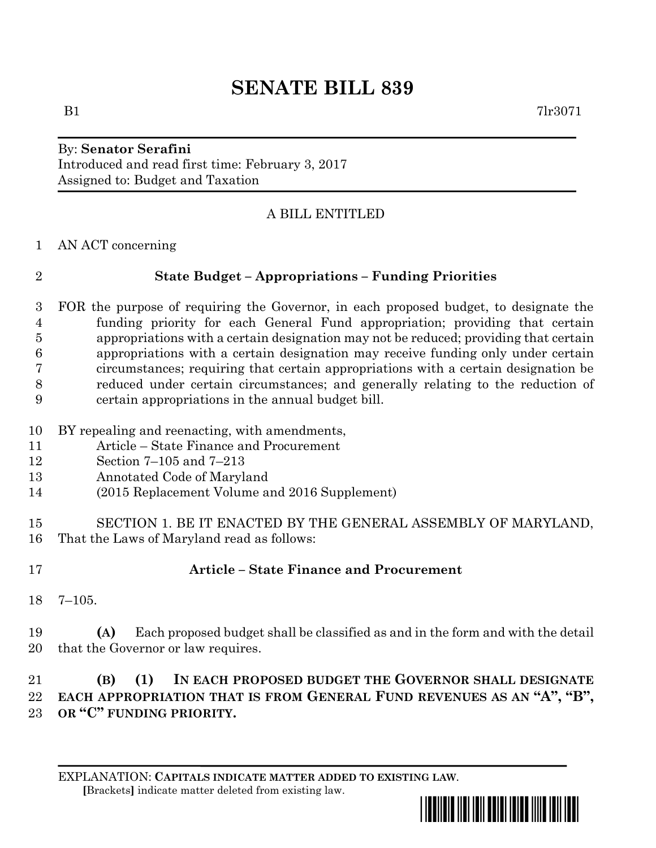# **SENATE BILL 839**

#### By: **Senator Serafini** Introduced and read first time: February 3, 2017 Assigned to: Budget and Taxation

## A BILL ENTITLED

AN ACT concerning

## **State Budget – Appropriations – Funding Priorities**

 FOR the purpose of requiring the Governor, in each proposed budget, to designate the funding priority for each General Fund appropriation; providing that certain appropriations with a certain designation may not be reduced; providing that certain appropriations with a certain designation may receive funding only under certain circumstances; requiring that certain appropriations with a certain designation be reduced under certain circumstances; and generally relating to the reduction of certain appropriations in the annual budget bill.

- BY repealing and reenacting, with amendments,
- Article State Finance and Procurement
- Section 7–105 and 7–213
- Annotated Code of Maryland
- (2015 Replacement Volume and 2016 Supplement)
- SECTION 1. BE IT ENACTED BY THE GENERAL ASSEMBLY OF MARYLAND, That the Laws of Maryland read as follows:
- **Article – State Finance and Procurement**
- 7–105.

 **(A)** Each proposed budget shall be classified as and in the form and with the detail that the Governor or law requires.

# **(B) (1) IN EACH PROPOSED BUDGET THE GOVERNOR SHALL DESIGNATE EACH APPROPRIATION THAT IS FROM GENERAL FUND REVENUES AS AN "A", "B", OR "C" FUNDING PRIORITY.**

EXPLANATION: **CAPITALS INDICATE MATTER ADDED TO EXISTING LAW**.  **[**Brackets**]** indicate matter deleted from existing law.



 $B1$   $7lr3071$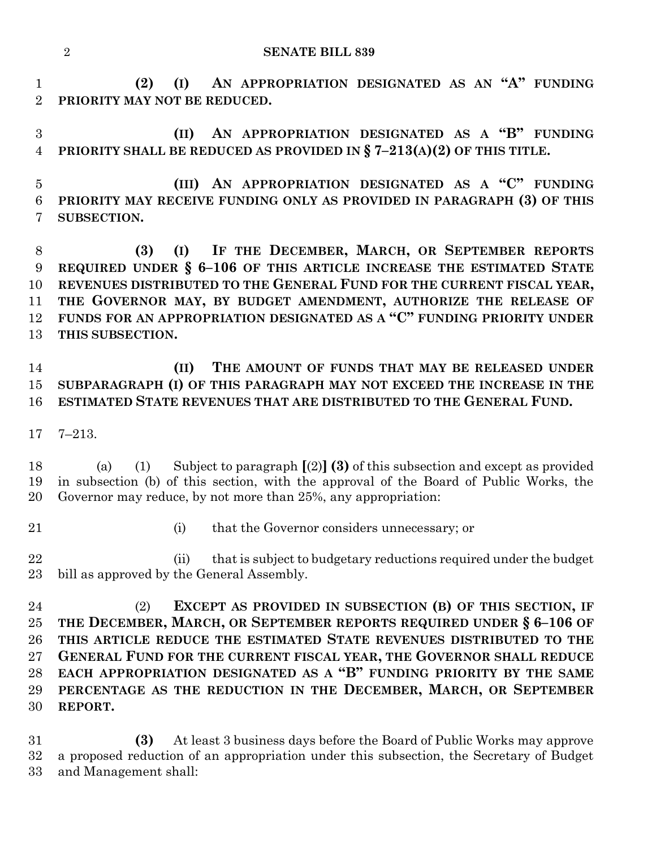#### **SENATE BILL 839**

 **(2) (I) AN APPROPRIATION DESIGNATED AS AN "A" FUNDING PRIORITY MAY NOT BE REDUCED.**

 **(II) AN APPROPRIATION DESIGNATED AS A "B" FUNDING PRIORITY SHALL BE REDUCED AS PROVIDED IN § 7–213(A)(2) OF THIS TITLE.**

 **(III) AN APPROPRIATION DESIGNATED AS A "C" FUNDING PRIORITY MAY RECEIVE FUNDING ONLY AS PROVIDED IN PARAGRAPH (3) OF THIS SUBSECTION.**

 **(3) (I) IF THE DECEMBER, MARCH, OR SEPTEMBER REPORTS REQUIRED UNDER § 6–106 OF THIS ARTICLE INCREASE THE ESTIMATED STATE REVENUES DISTRIBUTED TO THE GENERAL FUND FOR THE CURRENT FISCAL YEAR, THE GOVERNOR MAY, BY BUDGET AMENDMENT, AUTHORIZE THE RELEASE OF FUNDS FOR AN APPROPRIATION DESIGNATED AS A "C" FUNDING PRIORITY UNDER THIS SUBSECTION.**

 **(II) THE AMOUNT OF FUNDS THAT MAY BE RELEASED UNDER SUBPARAGRAPH (I) OF THIS PARAGRAPH MAY NOT EXCEED THE INCREASE IN THE ESTIMATED STATE REVENUES THAT ARE DISTRIBUTED TO THE GENERAL FUND.**

7–213.

 (a) (1) Subject to paragraph **[**(2)**] (3)** of this subsection and except as provided in subsection (b) of this section, with the approval of the Board of Public Works, the Governor may reduce, by not more than 25%, any appropriation:

(i) that the Governor considers unnecessary; or

22 (ii) that is subject to budgetary reductions required under the budget bill as approved by the General Assembly.

 (2) **EXCEPT AS PROVIDED IN SUBSECTION (B) OF THIS SECTION, IF THE DECEMBER, MARCH, OR SEPTEMBER REPORTS REQUIRED UNDER § 6–106 OF THIS ARTICLE REDUCE THE ESTIMATED STATE REVENUES DISTRIBUTED TO THE GENERAL FUND FOR THE CURRENT FISCAL YEAR, THE GOVERNOR SHALL REDUCE EACH APPROPRIATION DESIGNATED AS A "B" FUNDING PRIORITY BY THE SAME PERCENTAGE AS THE REDUCTION IN THE DECEMBER, MARCH, OR SEPTEMBER REPORT.**

 **(3)** At least 3 business days before the Board of Public Works may approve a proposed reduction of an appropriation under this subsection, the Secretary of Budget and Management shall: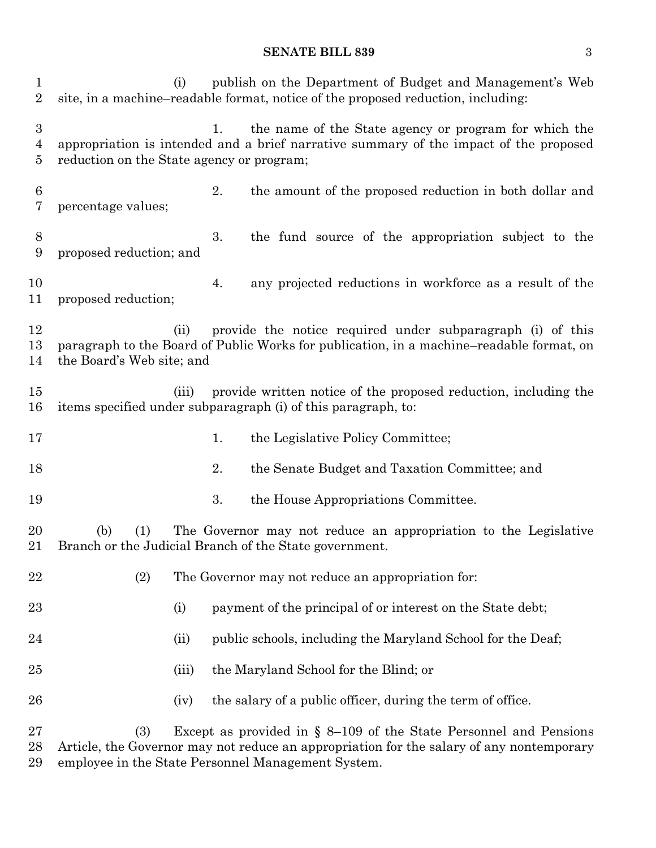#### **SENATE BILL 839** 3

 (i) publish on the Department of Budget and Management's Web site, in a machine–readable format, notice of the proposed reduction, including: 1. the name of the State agency or program for which the appropriation is intended and a brief narrative summary of the impact of the proposed reduction on the State agency or program; 2. the amount of the proposed reduction in both dollar and percentage values; 3. the fund source of the appropriation subject to the proposed reduction; and 4. any projected reductions in workforce as a result of the proposed reduction; (ii) provide the notice required under subparagraph (i) of this paragraph to the Board of Public Works for publication, in a machine–readable format, on the Board's Web site; and (iii) provide written notice of the proposed reduction, including the items specified under subparagraph (i) of this paragraph, to: 17 1. the Legislative Policy Committee; 2. the Senate Budget and Taxation Committee; and 19 3. the House Appropriations Committee. (b) (1) The Governor may not reduce an appropriation to the Legislative Branch or the Judicial Branch of the State government. (2) The Governor may not reduce an appropriation for: 23 (i) payment of the principal of or interest on the State debt; 24 (ii) public schools, including the Maryland School for the Deaf; (iii) the Maryland School for the Blind; or 26 (iv) the salary of a public officer, during the term of office. (3) Except as provided in § 8–109 of the State Personnel and Pensions Article, the Governor may not reduce an appropriation for the salary of any nontemporary

employee in the State Personnel Management System.